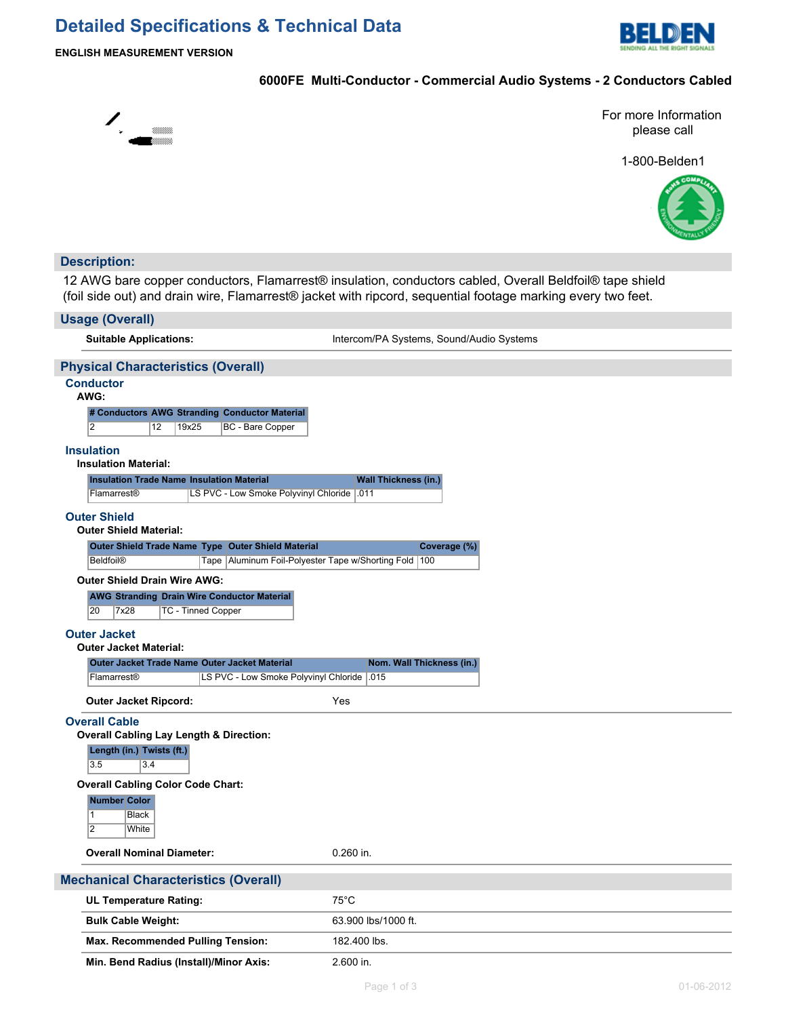# **Detailed Specifications & Technical Data**



**ENGLISH MEASUREMENT VERSION**

### **6000FE Multi-Conductor - Commercial Audio Systems - 2 Conductors Cabled**



For more Information please call

1-800-Belden1



#### **Description:**

12 AWG bare copper conductors, Flamarrest® insulation, conductors cabled, Overall Beldfoil® tape shield (foil side out) and drain wire, Flamarrest® jacket with ripcord, sequential footage marking every two feet.

| <b>Usage (Overall)</b>                                                                             |                                          |
|----------------------------------------------------------------------------------------------------|------------------------------------------|
| <b>Suitable Applications:</b>                                                                      | Intercom/PA Systems, Sound/Audio Systems |
| <b>Physical Characteristics (Overall)</b>                                                          |                                          |
| <b>Conductor</b><br>AWG:                                                                           |                                          |
| # Conductors AWG Stranding Conductor Material<br>$\overline{2}$<br>12<br>19x25<br>BC - Bare Copper |                                          |
| <b>Insulation</b><br><b>Insulation Material:</b>                                                   |                                          |
| <b>Insulation Trade Name Insulation Material</b>                                                   | <b>Wall Thickness (in.)</b>              |
| LS PVC - Low Smoke Polyvinyl Chloride   011<br>Flamarrest <sup>®</sup>                             |                                          |
| <b>Outer Shield</b><br><b>Outer Shield Material:</b>                                               |                                          |
| Outer Shield Trade Name Type Outer Shield Material                                                 | Coverage (%)                             |
| Tape   Aluminum Foil-Polyester Tape w/Shorting Fold   100<br><b>Beldfoil®</b>                      |                                          |
| <b>Outer Shield Drain Wire AWG:</b>                                                                |                                          |
| <b>AWG Stranding Drain Wire Conductor Material</b>                                                 |                                          |
| 20<br>7x28<br><b>TC - Tinned Copper</b>                                                            |                                          |
| <b>Outer Jacket</b>                                                                                |                                          |
| <b>Outer Jacket Material:</b>                                                                      |                                          |
| Outer Jacket Trade Name Outer Jacket Material                                                      | Nom. Wall Thickness (in.)                |
| Flamarrest®<br>LS PVC - Low Smoke Polyvinyl Chloride   015                                         |                                          |
| <b>Outer Jacket Ripcord:</b>                                                                       | Yes                                      |
| <b>Overall Cable</b>                                                                               |                                          |
| <b>Overall Cabling Lay Length &amp; Direction:</b>                                                 |                                          |
| Length (in.) Twists (ft.)<br>3.5<br>3.4                                                            |                                          |
| <b>Overall Cabling Color Code Chart:</b>                                                           |                                          |
| <b>Number Color</b>                                                                                |                                          |
| $\mathbf{1}$<br><b>Black</b>                                                                       |                                          |
| $\overline{2}$<br>White                                                                            |                                          |
| <b>Overall Nominal Diameter:</b>                                                                   | $0.260$ in.                              |
| <b>Mechanical Characteristics (Overall)</b>                                                        |                                          |
| <b>UL Temperature Rating:</b>                                                                      | $75^{\circ}$ C                           |
| <b>Bulk Cable Weight:</b>                                                                          | 63.900 lbs/1000 ft.                      |
| <b>Max. Recommended Pulling Tension:</b>                                                           | 182.400 lbs.                             |
| Min. Bend Radius (Install)/Minor Axis:                                                             | 2.600 in.                                |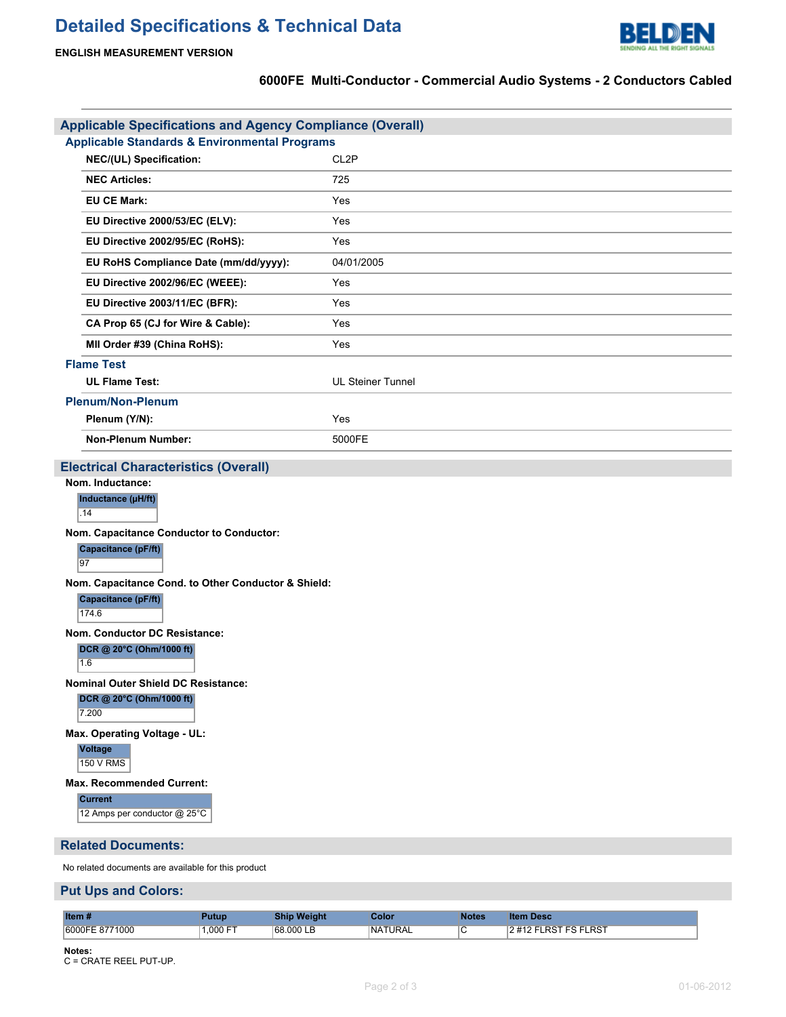

## **6000FE Multi-Conductor - Commercial Audio Systems - 2 Conductors Cabled**

| <b>Applicable Specifications and Agency Compliance (Overall)</b>                                                                                                                                                                                                                                                                                                                                                                  |                          |  |  |  |  |
|-----------------------------------------------------------------------------------------------------------------------------------------------------------------------------------------------------------------------------------------------------------------------------------------------------------------------------------------------------------------------------------------------------------------------------------|--------------------------|--|--|--|--|
| <b>Applicable Standards &amp; Environmental Programs</b>                                                                                                                                                                                                                                                                                                                                                                          |                          |  |  |  |  |
| NEC/(UL) Specification:                                                                                                                                                                                                                                                                                                                                                                                                           | CL <sub>2</sub> P        |  |  |  |  |
| <b>NEC Articles:</b>                                                                                                                                                                                                                                                                                                                                                                                                              | 725                      |  |  |  |  |
| <b>EU CE Mark:</b>                                                                                                                                                                                                                                                                                                                                                                                                                | Yes                      |  |  |  |  |
| EU Directive 2000/53/EC (ELV):                                                                                                                                                                                                                                                                                                                                                                                                    | Yes                      |  |  |  |  |
| EU Directive 2002/95/EC (RoHS):                                                                                                                                                                                                                                                                                                                                                                                                   | Yes                      |  |  |  |  |
| EU RoHS Compliance Date (mm/dd/yyyy):                                                                                                                                                                                                                                                                                                                                                                                             | 04/01/2005               |  |  |  |  |
| EU Directive 2002/96/EC (WEEE):                                                                                                                                                                                                                                                                                                                                                                                                   | Yes                      |  |  |  |  |
| EU Directive 2003/11/EC (BFR):                                                                                                                                                                                                                                                                                                                                                                                                    | Yes                      |  |  |  |  |
| CA Prop 65 (CJ for Wire & Cable):                                                                                                                                                                                                                                                                                                                                                                                                 | Yes                      |  |  |  |  |
| MII Order #39 (China RoHS):                                                                                                                                                                                                                                                                                                                                                                                                       | Yes                      |  |  |  |  |
| <b>Flame Test</b>                                                                                                                                                                                                                                                                                                                                                                                                                 |                          |  |  |  |  |
| <b>UL Flame Test:</b>                                                                                                                                                                                                                                                                                                                                                                                                             | <b>UL Steiner Tunnel</b> |  |  |  |  |
| <b>Plenum/Non-Plenum</b>                                                                                                                                                                                                                                                                                                                                                                                                          |                          |  |  |  |  |
| Plenum (Y/N):                                                                                                                                                                                                                                                                                                                                                                                                                     | Yes                      |  |  |  |  |
| <b>Non-Plenum Number:</b>                                                                                                                                                                                                                                                                                                                                                                                                         | 5000FE                   |  |  |  |  |
| <b>Electrical Characteristics (Overall)</b>                                                                                                                                                                                                                                                                                                                                                                                       |                          |  |  |  |  |
| Nom. Capacitance Conductor to Conductor:<br>Capacitance (pF/ft)<br>97<br>Nom. Capacitance Cond. to Other Conductor & Shield:<br>Capacitance (pF/ft)<br>174.6<br>Nom. Conductor DC Resistance:<br>DCR @ 20°C (Ohm/1000 ft)<br>1.6<br><b>Nominal Outer Shield DC Resistance:</b><br>DCR @ 20°C (Ohm/1000 ft)<br>7.200<br>Max. Operating Voltage - UL:<br>Voltage<br>150 V RMS<br><b>Max. Recommended Current:</b><br><b>Current</b> |                          |  |  |  |  |
| 12 Amps per conductor @ 25°C                                                                                                                                                                                                                                                                                                                                                                                                      |                          |  |  |  |  |
| <b>Related Documents:</b>                                                                                                                                                                                                                                                                                                                                                                                                         |                          |  |  |  |  |
| No related documents are available for this product                                                                                                                                                                                                                                                                                                                                                                               |                          |  |  |  |  |
| <b>Put Ups and Colors:</b>                                                                                                                                                                                                                                                                                                                                                                                                        |                          |  |  |  |  |

| Item#                   | utur      | <b>Weight</b><br>Ship | Color          | <b>v</b> otes | Desc<br>item         |
|-------------------------|-----------|-----------------------|----------------|---------------|----------------------|
| 9771000<br>16000FE<br>. | $.000$ FT | 68.000 LB<br>.        | <b>NATURAL</b> | ◡             | <b>LRST FS FLRST</b> |

**Notes:** C = CRATE REEL PUT-UP.